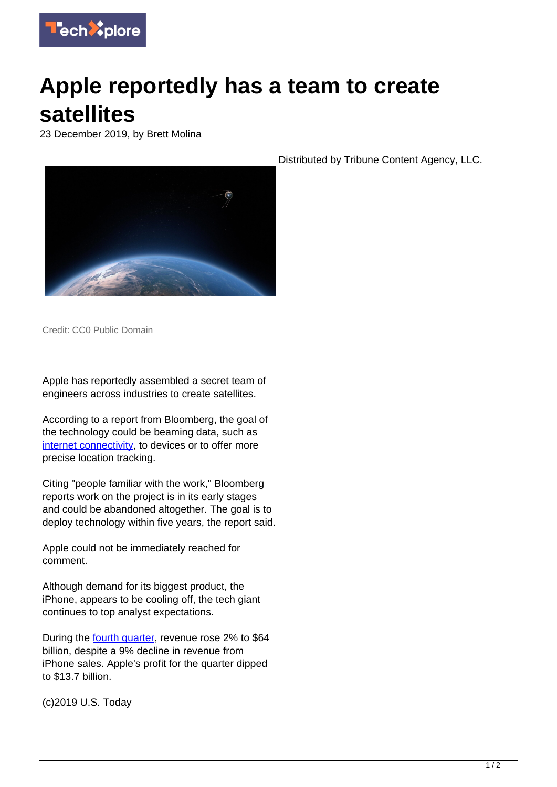

## **Apple reportedly has a team to create satellites**

23 December 2019, by Brett Molina



Credit: CC0 Public Domain

Apple has reportedly assembled a secret team of engineers across industries to create satellites.

According to a report from Bloomberg, the goal of the technology could be beaming data, such as [internet connectivity,](https://techxplore.com/tags/internet+connectivity/) to devices or to offer more precise location tracking.

Citing "people familiar with the work," Bloomberg reports work on the project is in its early stages and could be abandoned altogether. The goal is to deploy technology within five years, the report said.

Apple could not be immediately reached for comment.

Although demand for its biggest product, the iPhone, appears to be cooling off, the tech giant continues to top analyst expectations.

During the **fourth quarter**, revenue rose 2% to \$64 billion, despite a 9% decline in revenue from iPhone sales. Apple's profit for the quarter dipped to \$13.7 billion.

(c)2019 U.S. Today

Distributed by Tribune Content Agency, LLC.